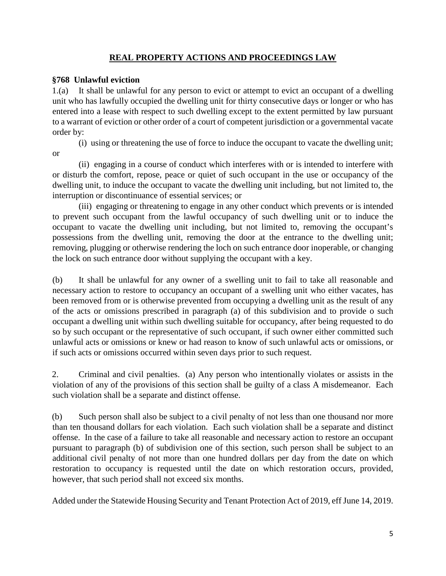## **REAL PROPERTY ACTIONS AND PROCEEDINGS LAW**

#### **§768 Unlawful eviction**

1.(a) It shall be unlawful for any person to evict or attempt to evict an occupant of a dwelling unit who has lawfully occupied the dwelling unit for thirty consecutive days or longer or who has entered into a lease with respect to such dwelling except to the extent permitted by law pursuant to a warrant of eviction or other order of a court of competent jurisdiction or a governmental vacate order by:

(i) using or threatening the use of force to induce the occupant to vacate the dwelling unit; or

(ii) engaging in a course of conduct which interferes with or is intended to interfere with or disturb the comfort, repose, peace or quiet of such occupant in the use or occupancy of the dwelling unit, to induce the occupant to vacate the dwelling unit including, but not limited to, the interruption or discontinuance of essential services; or

(iii) engaging or threatening to engage in any other conduct which prevents or is intended to prevent such occupant from the lawful occupancy of such dwelling unit or to induce the occupant to vacate the dwelling unit including, but not limited to, removing the occupant's possessions from the dwelling unit, removing the door at the entrance to the dwelling unit; removing, plugging or otherwise rendering the loch on such entrance door inoperable, or changing the lock on such entrance door without supplying the occupant with a key.

(b) It shall be unlawful for any owner of a swelling unit to fail to take all reasonable and necessary action to restore to occupancy an occupant of a swelling unit who either vacates, has been removed from or is otherwise prevented from occupying a dwelling unit as the result of any of the acts or omissions prescribed in paragraph (a) of this subdivision and to provide o such occupant a dwelling unit within such dwelling suitable for occupancy, after being requested to do so by such occupant or the representative of such occupant, if such owner either committed such unlawful acts or omissions or knew or had reason to know of such unlawful acts or omissions, or if such acts or omissions occurred within seven days prior to such request.

2. Criminal and civil penalties. (a) Any person who intentionally violates or assists in the violation of any of the provisions of this section shall be guilty of a class A misdemeanor. Each such violation shall be a separate and distinct offense.

(b) Such person shall also be subject to a civil penalty of not less than one thousand nor more than ten thousand dollars for each violation. Each such violation shall be a separate and distinct offense. In the case of a failure to take all reasonable and necessary action to restore an occupant pursuant to paragraph (b) of subdivision one of this section, such person shall be subject to an additional civil penalty of not more than one hundred dollars per day from the date on which restoration to occupancy is requested until the date on which restoration occurs, provided, however, that such period shall not exceed six months.

Added under the Statewide Housing Security and Tenant Protection Act of 2019, eff June 14, 2019.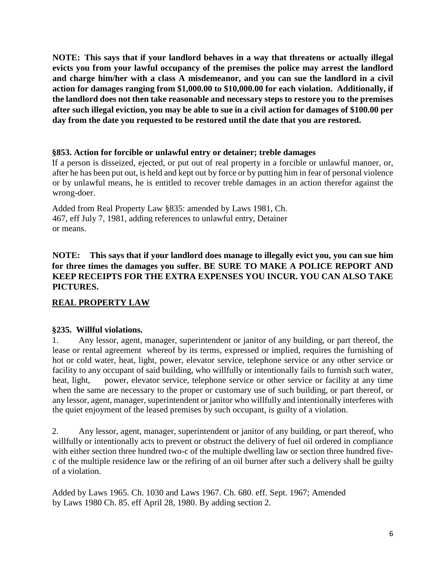**NOTE: This says that if your landlord behaves in a way that threatens or actually illegal evicts you from your lawful occupancy of the premises the police may arrest the landlord and charge him/her with a class A misdemeanor, and you can sue the landlord in a civil action for damages ranging from \$1,000.00 to \$10,000.00 for each violation. Additionally, if the landlord does not then take reasonable and necessary steps to restore you to the premises after such illegal eviction, you may be able to sue in a civil action for damages of \$100.00 per day from the date you requested to be restored until the date that you are restored.**

#### **§853. Action for forcible or unlawful entry or detainer; treble damages**

If a person is disseized, ejected, or put out of real property in a forcible or unlawful manner, or, after he has been put out, is held and kept out by force or by putting him in fear of personal violence or by unlawful means, he is entitled to recover treble damages in an action therefor against the wrong-doer.

Added from Real Property Law §835: amended by Laws 1981, Ch. 467, eff July 7, 1981, adding references to unlawful entry, Detainer or means.

## **NOTE: This says that if your landlord does manage to illegally evict you, you can sue him for three times the damages you suffer. BE SURE TO MAKE A POLICE REPORT AND KEEP RECEIPTS FOR THE EXTRA EXPENSES YOU INCUR. YOU CAN ALSO TAKE PICTURES.**

#### **REAL PROPERTY LAW**

#### **§235. Willful violations.**

1. Any lessor, agent, manager, superintendent or janitor of any building, or part thereof, the lease or rental agreement whereof by its terms, expressed or implied, requires the furnishing of hot or cold water, heat, light, power, elevator service, telephone service or any other service or facility to any occupant of said building, who willfully or intentionally fails to furnish such water, heat, light, power, elevator service, telephone service or other service or facility at any time when the same are necessary to the proper or customary use of such building, or part thereof, or any lessor, agent, manager, superintendent or janitor who willfully and intentionally interferes with the quiet enjoyment of the leased premises by such occupant, is guilty of a violation.

2. Any lessor, agent, manager, superintendent or janitor of any building, or part thereof, who willfully or intentionally acts to prevent or obstruct the delivery of fuel oil ordered in compliance with either section three hundred two-c of the multiple dwelling law or section three hundred fivec of the multiple residence law or the refiring of an oil burner after such a delivery shall be guilty of a violation.

Added by Laws 1965. Ch. 1030 and Laws 1967. Ch. 680. eff. Sept. 1967; Amended by Laws 1980 Ch. 85. eff April 28, 1980. By adding section 2.